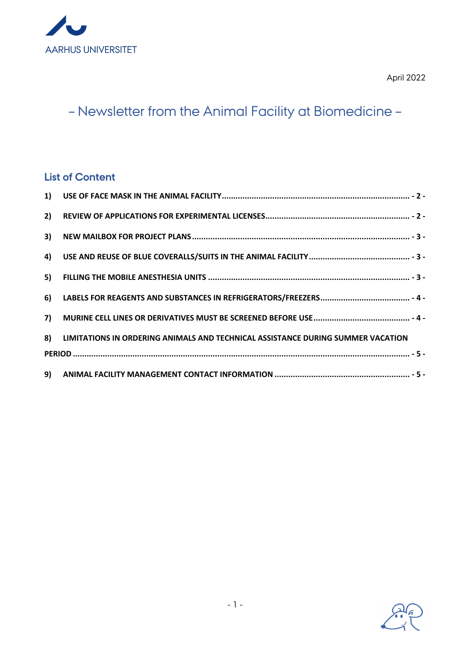

April 2022

# – Newsletter from the Animal Facility at Biomedicine –

#### **List of Content**

|  | 8) LIMITATIONS IN ORDERING ANIMALS AND TECHNICAL ASSISTANCE DURING SUMMER VACATION |
|--|------------------------------------------------------------------------------------|
|  |                                                                                    |
|  |                                                                                    |

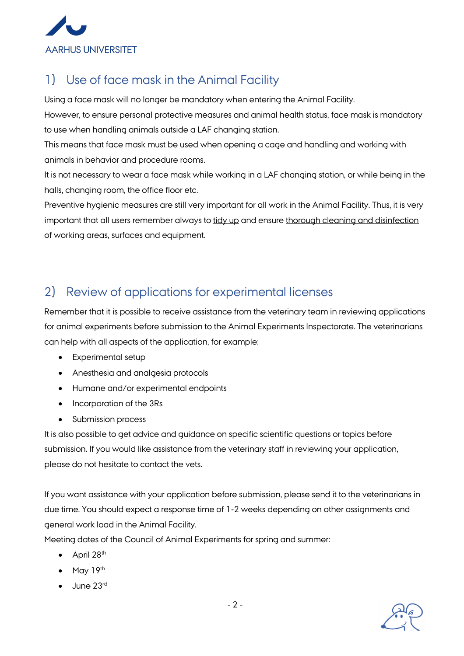

## 1) Use of face mask in the Animal Facility

Using a face mask will no longer be mandatory when entering the Animal Facility.

However, to ensure personal protective measures and animal health status, face mask is mandatory to use when handling animals outside a LAF changing station.

This means that face mask must be used when opening a cage and handling and working with animals in behavior and procedure rooms.

It is not necessary to wear a face mask while working in a LAF changing station, or while being in the halls, changing room, the office floor etc.

Preventive hygienic measures are still very important for all work in the Animal Facility. Thus, it is very important that all users remember always to tidy up and ensure thorough cleaning and disinfection of working areas, surfaces and equipment.

### 2) Review of applications for experimental licenses

Remember that it is possible to receive assistance from the veterinary team in reviewing applications for animal experiments before submission to the Animal Experiments Inspectorate. The veterinarians can help with all aspects of the application, for example:

- Experimental setup
- Anesthesia and analgesia protocols
- Humane and/or experimental endpoints
- Incorporation of the 3Rs
- Submission process

It is also possible to get advice and guidance on specific scientific questions or topics before submission. If you would like assistance from the veterinary staff in reviewing your application, please do not hesitate to contact the vets.

If you want assistance with your application before submission, please send it to the veterinarians in due time. You should expect a response time of 1-2 weeks depending on other assignments and general work load in the Animal Facility.

Meeting dates of the Council of Animal Experiments for spring and summer:

- April 28<sup>th</sup>
- $\bullet$  May 19<sup>th</sup>
- $\bullet$  June 23rd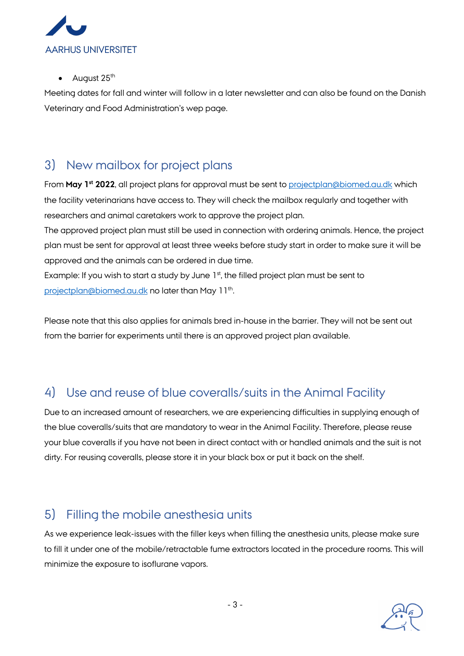

August 25<sup>th</sup>

Meeting dates for fall and winter will follow in a later newsletter and can also be found on the Danish Veterinary and Food Administration's wep page.

#### 3) New mailbox for project plans

From **May 1st 2022**, all project plans for approval must be sent to projectplan@biomed.au.dk which the facility veterinarians have access to. They will check the mailbox regularly and together with researchers and animal caretakers work to approve the project plan.

The approved project plan must still be used in connection with ordering animals. Hence, the project plan must be sent for approval at least three weeks before study start in order to make sure it will be approved and the animals can be ordered in due time.

Example: If you wish to start a study by June  $1<sup>st</sup>$ , the filled project plan must be sent to projectplan@biomed.au.dk no later than May 11<sup>th</sup>.

Please note that this also applies for animals bred in-house in the barrier. They will not be sent out from the barrier for experiments until there is an approved project plan available.

#### 4) Use and reuse of blue coveralls/suits in the Animal Facility

Due to an increased amount of researchers, we are experiencing difficulties in supplying enough of the blue coveralls/suits that are mandatory to wear in the Animal Facility. Therefore, please reuse your blue coveralls if you have not been in direct contact with or handled animals and the suit is not dirty. For reusing coveralls, please store it in your black box or put it back on the shelf.

### 5) Filling the mobile anesthesia units

As we experience leak-issues with the filler keys when filling the anesthesia units, please make sure to fill it under one of the mobile/retractable fume extractors located in the procedure rooms. This will minimize the exposure to isoflurane vapors.

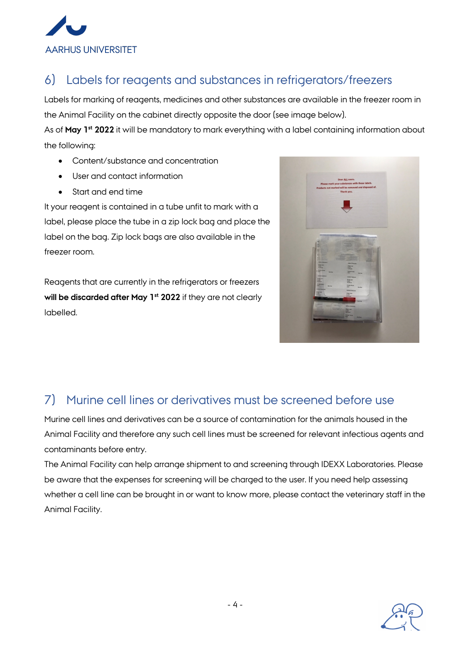

## 6) Labels for reagents and substances in refrigerators/freezers

Labels for marking of reagents, medicines and other substances are available in the freezer room in the Animal Facility on the cabinet directly opposite the door (see image below).

As of **May 1st 2022** it will be mandatory to mark everything with a label containing information about the following:

- Content/substance and concentration
- User and contact information
- Start and end time

It your reagent is contained in a tube unfit to mark with a label, please place the tube in a zip lock bag and place the label on the bag. Zip lock bags are also available in the freezer room.

Reagents that are currently in the refrigerators or freezers **will be discarded after May 1st 2022** if they are not clearly labelled.



#### 7) Murine cell lines or derivatives must be screened before use

Murine cell lines and derivatives can be a source of contamination for the animals housed in the Animal Facility and therefore any such cell lines must be screened for relevant infectious agents and contaminants before entry.

The Animal Facility can help arrange shipment to and screening through IDEXX Laboratories. Please be aware that the expenses for screening will be charged to the user. If you need help assessing whether a cell line can be brought in or want to know more, please contact the veterinary staff in the Animal Facility.